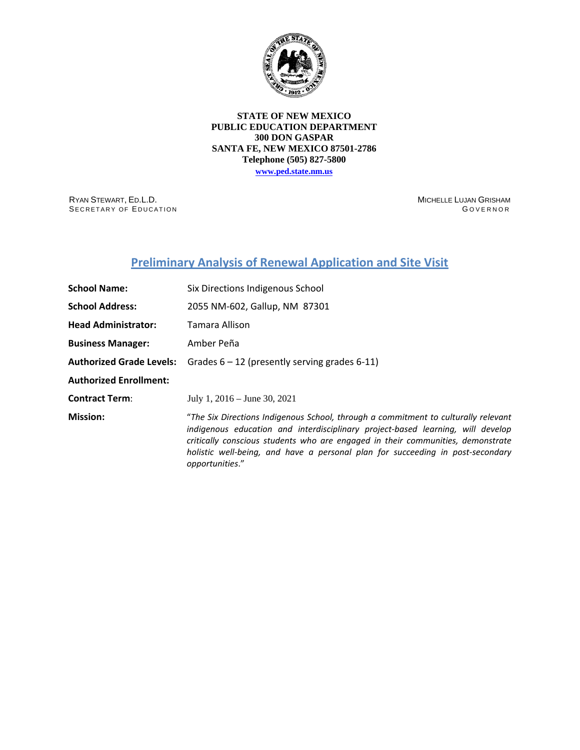

### **STATE OF NEW MEXICO PUBLIC EDUCATION DEPARTMENT 300 DON GASPAR SANTA FE, NEW MEXICO 87501-2786 Telephone (505) 827-5800**

**[www.ped.state.nm.us](http://webnew.ped.state.nm.us/)**

RYAN STEWART, ED.L.D. SECRETARY OF EDUCATION MICHELLE LUJAN GRISHAM GOVERNOR

# **Preliminary Analysis of Renewal Application and Site Visit**

| <b>School Name:</b>             | Six Directions Indigenous School                                                                                                                                                                                                                                                                                                                              |  |  |  |
|---------------------------------|---------------------------------------------------------------------------------------------------------------------------------------------------------------------------------------------------------------------------------------------------------------------------------------------------------------------------------------------------------------|--|--|--|
| <b>School Address:</b>          | 2055 NM-602, Gallup, NM 87301                                                                                                                                                                                                                                                                                                                                 |  |  |  |
| <b>Head Administrator:</b>      | Tamara Allison                                                                                                                                                                                                                                                                                                                                                |  |  |  |
| <b>Business Manager:</b>        | Amber Peña                                                                                                                                                                                                                                                                                                                                                    |  |  |  |
| <b>Authorized Grade Levels:</b> | Grades $6 - 12$ (presently serving grades 6-11)                                                                                                                                                                                                                                                                                                               |  |  |  |
| <b>Authorized Enrollment:</b>   |                                                                                                                                                                                                                                                                                                                                                               |  |  |  |
| <b>Contract Term:</b>           | July 1, $2016 -$ June 30, $2021$                                                                                                                                                                                                                                                                                                                              |  |  |  |
| <b>Mission:</b>                 | "The Six Directions Indigenous School, through a commitment to culturally relevant<br>indigenous education and interdisciplinary project-based learning, will develop<br>critically conscious students who are engaged in their communities, demonstrate<br>holistic well-being, and have a personal plan for succeeding in post-secondary<br>opportunities." |  |  |  |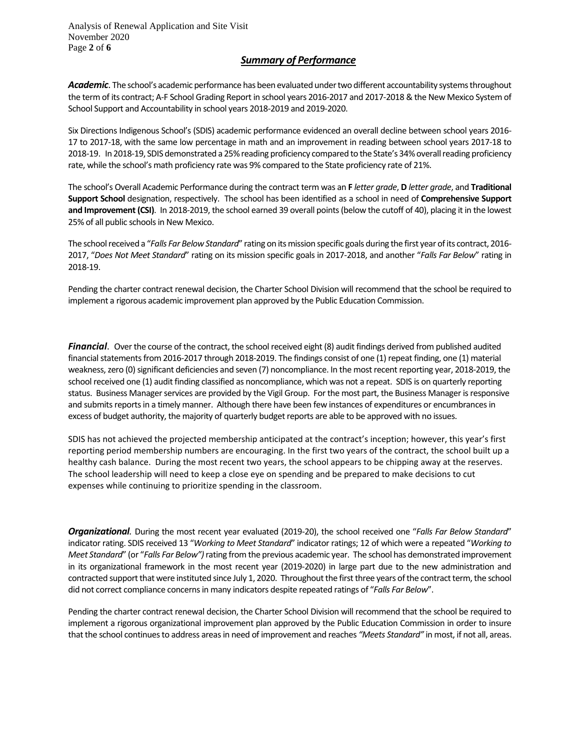Analysis of Renewal Application and Site Visit November 2020 Page **2** of **6**

### *Summary of Performance*

*Academic*. The school's academic performance has been evaluated under two different accountability systems throughout the term of its contract; A-F School Grading Report in school years 2016-2017 and 2017-2018 & the New Mexico System of School Support and Accountability in school years 2018-2019 and 2019-2020.

Six Directions Indigenous School's (SDIS) academic performance evidenced an overall decline between school years 2016- 17 to 2017-18, with the same low percentage in math and an improvement in reading between school years 2017-18 to 2018-19. In 2018-19, SDIS demonstrated a 25% reading proficiency compared to the State's 34% overall reading proficiency rate, while the school's math proficiency rate was 9% compared to the State proficiency rate of 21%.

The school's Overall Academic Performance during the contract term was an **F** *letter grade*, **D** *letter grade*, and **Traditional Support School** designation, respectively. The school has been identified as a school in need of **Comprehensive Support and Improvement (CSI)**. In 2018-2019, the school earned 39 overall points (below the cutoff of 40), placing it in the lowest 25% of all public schools in New Mexico.

The school received a "*Falls Far Below Standard*" rating on its mission specific goals during the first year of its contract, 2016- 2017, "*Does Not Meet Standard*" rating on its mission specific goals in 2017-2018, and another "*Falls Far Below*" rating in 2018-19.

Pending the charter contract renewal decision, the Charter School Division will recommend that the school be required to implement a rigorous academic improvement plan approved by the Public Education Commission.

*Financial*. Over the course of the contract, the school received eight (8) audit findings derived from published audited financial statements from 2016-2017 through 2018-2019. The findings consist of one (1) repeat finding, one (1) material weakness, zero (0) significant deficiencies and seven (7) noncompliance. In the most recent reporting year, 2018-2019, the school received one (1) audit finding classified as noncompliance, which was not a repeat. SDIS is on quarterly reporting status. Business Manager services are provided by the Vigil Group. For the most part, the Business Manager is responsive and submits reports in a timely manner. Although there have been few instances of expenditures or encumbrances in excess of budget authority, the majority of quarterly budget reports are able to be approved with no issues.

SDIS has not achieved the projected membership anticipated at the contract's inception; however, this year's first reporting period membership numbers are encouraging. In the first two years of the contract, the school built up a healthy cash balance. During the most recent two years, the school appears to be chipping away at the reserves. The school leadership will need to keep a close eye on spending and be prepared to make decisions to cut expenses while continuing to prioritize spending in the classroom.

*Organizational.* During the most recent year evaluated (2019-20), the school received one "*Falls Far Below Standard*" indicator rating. SDIS received 13 "*Working to Meet Standard*" indicator ratings; 12 of which were a repeated "*Working to Meet Standard*" (or "*Falls Far Below")* rating from the previous academic year. The school has demonstrated improvement in its organizational framework in the most recent year (2019-2020) in large part due to the new administration and contracted support that were instituted since July 1, 2020. Throughout the first three years of the contract term, the school did not correct compliance concerns in many indicators despite repeated ratings of "*Falls Far Below*".

Pending the charter contract renewal decision, the Charter School Division will recommend that the school be required to implement a rigorous organizational improvement plan approved by the Public Education Commission in order to insure that the school continues to address areas in need of improvement and reaches *"Meets Standard"* in most, if not all, areas.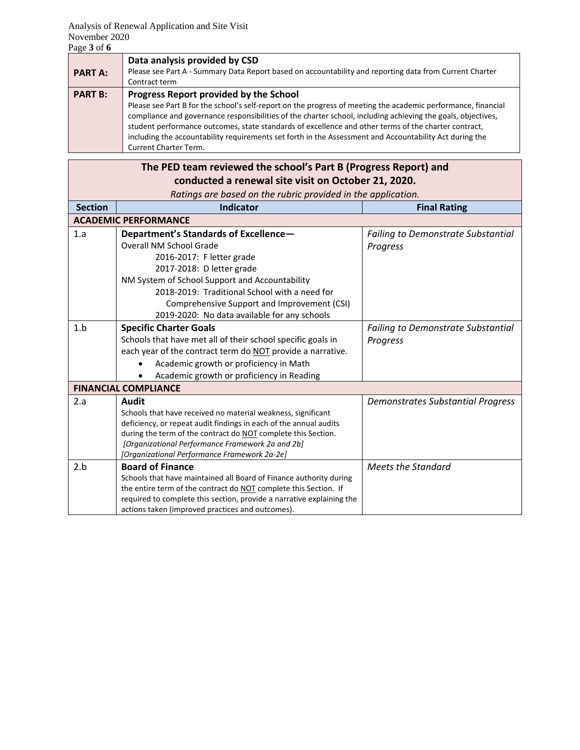| <b>PART A:</b> | Data analysis provided by CSD<br>Please see Part A - Summary Data Report based on accountability and reporting data from Current Charter<br>Contract term                                                                                                                                                                                                                                                                                                                                                           |
|----------------|---------------------------------------------------------------------------------------------------------------------------------------------------------------------------------------------------------------------------------------------------------------------------------------------------------------------------------------------------------------------------------------------------------------------------------------------------------------------------------------------------------------------|
| <b>PART B:</b> | Progress Report provided by the School<br>Please see Part B for the school's self-report on the progress of meeting the academic performance, financial<br>compliance and governance responsibilities of the charter school, including achieving the goals, objectives,<br>student performance outcomes, state standards of excellence and other terms of the charter contract,<br>including the accountability requirements set forth in the Assessment and Accountability Act during the<br>Current Charter Term. |

|                                                              | The PED team reviewed the school's Part B (Progress Report) and                                                                        |                                           |  |  |
|--------------------------------------------------------------|----------------------------------------------------------------------------------------------------------------------------------------|-------------------------------------------|--|--|
|                                                              | conducted a renewal site visit on October 21, 2020.                                                                                    |                                           |  |  |
| Ratings are based on the rubric provided in the application. |                                                                                                                                        |                                           |  |  |
| <b>Section</b>                                               | <b>Indicator</b>                                                                                                                       | <b>Final Rating</b>                       |  |  |
|                                                              | <b>ACADEMIC PERFORMANCE</b>                                                                                                            |                                           |  |  |
| 1.a                                                          | Department's Standards of Excellence-                                                                                                  | <b>Failing to Demonstrate Substantial</b> |  |  |
|                                                              | Overall NM School Grade                                                                                                                | Progress                                  |  |  |
|                                                              | 2016-2017: F letter grade                                                                                                              |                                           |  |  |
|                                                              | 2017-2018: D letter grade                                                                                                              |                                           |  |  |
|                                                              | NM System of School Support and Accountability                                                                                         |                                           |  |  |
|                                                              | 2018-2019: Traditional School with a need for                                                                                          |                                           |  |  |
|                                                              | Comprehensive Support and Improvement (CSI)                                                                                            |                                           |  |  |
|                                                              | 2019-2020: No data available for any schools                                                                                           |                                           |  |  |
| 1.b                                                          | <b>Specific Charter Goals</b>                                                                                                          | <b>Failing to Demonstrate Substantial</b> |  |  |
|                                                              | Schools that have met all of their school specific goals in                                                                            | Progress                                  |  |  |
|                                                              | each year of the contract term do NOT provide a narrative.                                                                             |                                           |  |  |
|                                                              | Academic growth or proficiency in Math                                                                                                 |                                           |  |  |
|                                                              | Academic growth or proficiency in Reading                                                                                              |                                           |  |  |
|                                                              | <b>FINANCIAL COMPLIANCE</b>                                                                                                            |                                           |  |  |
| 2.a                                                          | Audit                                                                                                                                  | <b>Demonstrates Substantial Progress</b>  |  |  |
|                                                              | Schools that have received no material weakness, significant                                                                           |                                           |  |  |
|                                                              | deficiency, or repeat audit findings in each of the annual audits                                                                      |                                           |  |  |
|                                                              | during the term of the contract do NOT complete this Section.                                                                          |                                           |  |  |
|                                                              | [Organizational Performance Framework 2a and 2b]                                                                                       |                                           |  |  |
|                                                              | [Organizational Performance Framework 2a-2e]                                                                                           |                                           |  |  |
| 2.b                                                          | <b>Board of Finance</b>                                                                                                                | <b>Meets the Standard</b>                 |  |  |
|                                                              | Schools that have maintained all Board of Finance authority during<br>the entire term of the contract do NOT complete this Section. If |                                           |  |  |
|                                                              | required to complete this section, provide a narrative explaining the                                                                  |                                           |  |  |
|                                                              | actions taken (improved practices and outcomes).                                                                                       |                                           |  |  |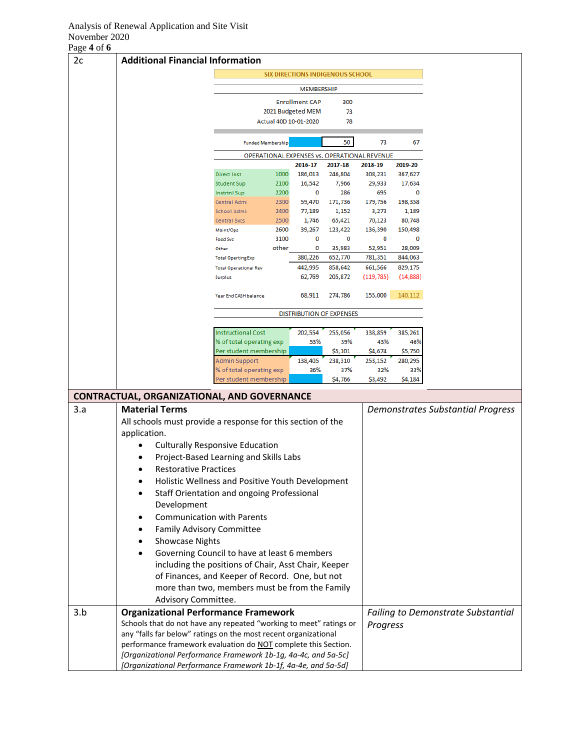### Analysis of Renewal Application and Site Visit November 2020

| Page 4 of 6 |                                                                    |                                                    |               |                       |                                         |                                              |                   |                                           |
|-------------|--------------------------------------------------------------------|----------------------------------------------------|---------------|-----------------------|-----------------------------------------|----------------------------------------------|-------------------|-------------------------------------------|
| 2c          | <b>Additional Financial Information</b>                            |                                                    |               |                       |                                         |                                              |                   |                                           |
|             |                                                                    |                                                    |               |                       | <b>SIX DIRECTIONS INDIGENOUS SCHOOL</b> |                                              |                   |                                           |
|             |                                                                    |                                                    |               | MEMBERSHIP            |                                         |                                              |                   |                                           |
|             |                                                                    | <b>Enrollment CAP</b><br>300                       |               |                       |                                         |                                              |                   |                                           |
|             |                                                                    |                                                    |               | 2021 Budgeted MEM     | 73                                      |                                              |                   |                                           |
|             |                                                                    |                                                    |               | Actual 40D 10-01-2020 | 78                                      |                                              |                   |                                           |
|             |                                                                    | <b>Funded Membership</b>                           |               |                       | 50                                      | 73                                           | 67                |                                           |
|             |                                                                    |                                                    |               |                       |                                         | OPERATIONAL EXPENSES vs. OPERATIONAL REVENUE |                   |                                           |
|             |                                                                    |                                                    |               | 2016-17               | 2017-18                                 | 2018-19                                      | 2019-20           |                                           |
|             |                                                                    | <b>Direct Inst</b>                                 | 1000          | 186,013<br>16,542     | 246,804<br>7,966                        | 308,231                                      | 367,627<br>17,634 |                                           |
|             |                                                                    | <b>Student Sup</b><br><b>Instrtnl Sup</b>          | 2100<br>2200  | 0                     | 286                                     | 29,933<br>695                                | 0                 |                                           |
|             |                                                                    | Central Admi                                       | 2300          | 59,470                | 171,736                                 | 179,756                                      | 198,358           |                                           |
|             |                                                                    | School Admir                                       | 2400          | 77,189                | 1,152                                   | 3,273                                        | 1,189             |                                           |
|             |                                                                    | <b>Central Svcs</b>                                | 2500          | 1,746                 | 65,421                                  | 70,123                                       | 80,748            |                                           |
|             |                                                                    | Maint/Ops                                          | 2600          | 39,267                | 123,422                                 | 136,390                                      | 150,498           |                                           |
|             |                                                                    | <b>Food Svc</b><br>Other                           | 3100<br>other | 0<br>0                | 0<br>35,983                             | 0<br>52,951                                  | 0<br>28,009       |                                           |
|             |                                                                    | <b>Total Operting Exp</b>                          |               | 380,226               | 652,770                                 | 781,351                                      | 844,063           |                                           |
|             |                                                                    | <b>Total Operational Rev</b>                       |               | 442,995               | 858,642                                 | 661,566                                      | 829,175           |                                           |
|             |                                                                    | <b>Surplus</b>                                     |               | 62,769                | 205,872                                 | (119, 785)                                   | (14, 888)         |                                           |
|             |                                                                    | <b>Year End CASH balance</b>                       |               | 68,911                | 274,786                                 | 155,000                                      | 140,112           |                                           |
|             |                                                                    |                                                    |               |                       | <b>DISTRIBUTION OF EXPENSES</b>         |                                              |                   |                                           |
|             |                                                                    | <b>Instructional Cost</b>                          |               | 202,554               | 255,056                                 | 338,859                                      | 385,261           |                                           |
|             |                                                                    | % of total operating exp                           |               | 53%                   | 39%                                     | 43%                                          | 46%               |                                           |
|             |                                                                    | Per student membership                             |               |                       | \$5,101                                 | \$4,674                                      | \$5,750           |                                           |
|             |                                                                    | Admin Support                                      |               | 138,405<br>36%        | 238,310<br>37%                          | 253,152<br>32%                               | 280,295<br>33%    |                                           |
|             |                                                                    | % of total operating exp<br>Per student membership |               |                       | \$4,766                                 | \$3,492                                      | \$4,184           |                                           |
|             | CONTRACTUAL, ORGANIZATIONAL, AND GOVERNANCE                        |                                                    |               |                       |                                         |                                              |                   |                                           |
| 3.a         | <b>Material Terms</b>                                              |                                                    |               |                       |                                         |                                              |                   | <b>Demonstrates Substantial Progress</b>  |
|             |                                                                    |                                                    |               |                       |                                         |                                              |                   |                                           |
|             | All schools must provide a response for this section of the        |                                                    |               |                       |                                         |                                              |                   |                                           |
|             | application.                                                       |                                                    |               |                       |                                         |                                              |                   |                                           |
|             | <b>Culturally Responsive Education</b>                             |                                                    |               |                       |                                         |                                              |                   |                                           |
|             |                                                                    | Project-Based Learning and Skills Labs             |               |                       |                                         |                                              |                   |                                           |
|             | <b>Restorative Practices</b>                                       |                                                    |               |                       |                                         |                                              |                   |                                           |
|             |                                                                    | Holistic Wellness and Positive Youth Development   |               |                       |                                         |                                              |                   |                                           |
|             | Staff Orientation and ongoing Professional                         |                                                    |               |                       |                                         |                                              |                   |                                           |
|             | Development                                                        |                                                    |               |                       |                                         |                                              |                   |                                           |
|             | <b>Communication with Parents</b>                                  |                                                    |               |                       |                                         |                                              |                   |                                           |
|             | Family Advisory Committee                                          |                                                    |               |                       |                                         |                                              |                   |                                           |
|             | <b>Showcase Nights</b>                                             |                                                    |               |                       |                                         |                                              |                   |                                           |
|             | Governing Council to have at least 6 members                       |                                                    |               |                       |                                         |                                              |                   |                                           |
|             | including the positions of Chair, Asst Chair, Keeper               |                                                    |               |                       |                                         |                                              |                   |                                           |
|             |                                                                    | of Finances, and Keeper of Record. One, but not    |               |                       |                                         |                                              |                   |                                           |
|             |                                                                    | more than two, members must be from the Family     |               |                       |                                         |                                              |                   |                                           |
|             | Advisory Committee.                                                |                                                    |               |                       |                                         |                                              |                   |                                           |
| 3.b         | <b>Organizational Performance Framework</b>                        |                                                    |               |                       |                                         |                                              |                   | <b>Failing to Demonstrate Substantial</b> |
|             | Schools that do not have any repeated "working to meet" ratings or |                                                    |               |                       |                                         | Progress                                     |                   |                                           |
|             | any "falls far below" ratings on the most recent organizational    |                                                    |               |                       |                                         |                                              |                   |                                           |
|             | performance framework evaluation do NOT complete this Section.     |                                                    |               |                       |                                         |                                              |                   |                                           |
|             | [Organizational Performance Framework 1b-1g, 4a-4c, and 5a-5c]     |                                                    |               |                       |                                         |                                              |                   |                                           |
|             | [Organizational Performance Framework 1b-1f, 4a-4e, and 5a-5d]     |                                                    |               |                       |                                         |                                              |                   |                                           |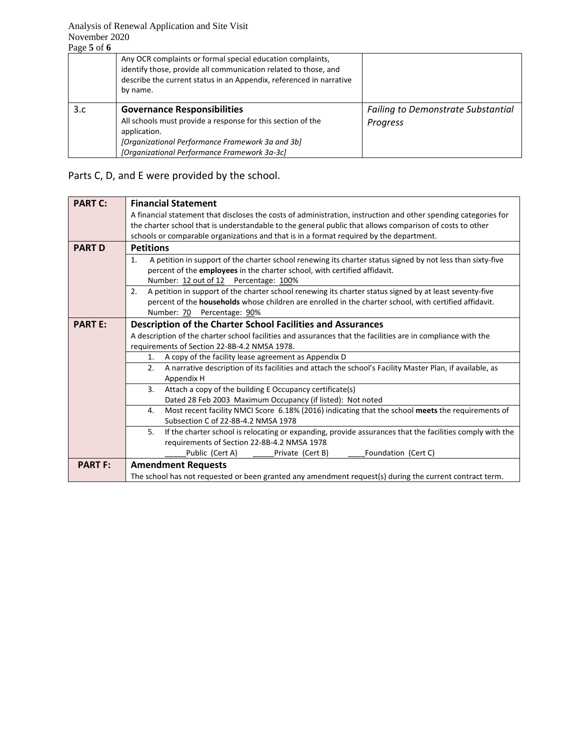| Page 5 of 6 |                                                                                                                                                                                                                  |                                           |
|-------------|------------------------------------------------------------------------------------------------------------------------------------------------------------------------------------------------------------------|-------------------------------------------|
|             | Any OCR complaints or formal special education complaints,<br>identify those, provide all communication related to those, and<br>describe the current status in an Appendix, referenced in narrative<br>by name. |                                           |
| 3.c         | <b>Governance Responsibilities</b>                                                                                                                                                                               | <b>Failing to Demonstrate Substantial</b> |
|             | All schools must provide a response for this section of the<br>application.                                                                                                                                      | Progress                                  |
|             | [Organizational Performance Framework 3a and 3b]                                                                                                                                                                 |                                           |
|             | [Organizational Performance Framework 3a-3c]                                                                                                                                                                     |                                           |

## Parts C, D, and E were provided by the school.

| <b>PART C:</b> | <b>Financial Statement</b>                                                                                                 |  |  |  |  |  |
|----------------|----------------------------------------------------------------------------------------------------------------------------|--|--|--|--|--|
|                | A financial statement that discloses the costs of administration, instruction and other spending categories for            |  |  |  |  |  |
|                | the charter school that is understandable to the general public that allows comparison of costs to other                   |  |  |  |  |  |
|                | schools or comparable organizations and that is in a format required by the department.                                    |  |  |  |  |  |
| <b>PART D</b>  | <b>Petitions</b>                                                                                                           |  |  |  |  |  |
|                | A petition in support of the charter school renewing its charter status signed by not less than sixty-five<br>1.           |  |  |  |  |  |
|                | percent of the employees in the charter school, with certified affidavit.                                                  |  |  |  |  |  |
|                | Number: 12 out of 12 Percentage: 100%                                                                                      |  |  |  |  |  |
|                | A petition in support of the charter school renewing its charter status signed by at least seventy-five<br>2.              |  |  |  |  |  |
|                | percent of the households whose children are enrolled in the charter school, with certified affidavit.                     |  |  |  |  |  |
|                | Number: 70 Percentage: 90%                                                                                                 |  |  |  |  |  |
| <b>PART E:</b> | <b>Description of the Charter School Facilities and Assurances</b>                                                         |  |  |  |  |  |
|                | A description of the charter school facilities and assurances that the facilities are in compliance with the               |  |  |  |  |  |
|                | requirements of Section 22-8B-4.2 NMSA 1978.                                                                               |  |  |  |  |  |
|                | A copy of the facility lease agreement as Appendix D<br>1.                                                                 |  |  |  |  |  |
|                | A narrative description of its facilities and attach the school's Facility Master Plan, if available, as<br>2.             |  |  |  |  |  |
|                | Appendix H                                                                                                                 |  |  |  |  |  |
|                | 3.<br>Attach a copy of the building E Occupancy certificate(s)                                                             |  |  |  |  |  |
|                | Dated 28 Feb 2003 Maximum Occupancy (if listed): Not noted                                                                 |  |  |  |  |  |
|                | Most recent facility NMCI Score 6.18% (2016) indicating that the school meets the requirements of<br>4.                    |  |  |  |  |  |
|                | Subsection C of 22-8B-4.2 NMSA 1978                                                                                        |  |  |  |  |  |
|                | If the charter school is relocating or expanding, provide assurances that the facilities comply with the<br>5 <sub>1</sub> |  |  |  |  |  |
|                | requirements of Section 22-8B-4.2 NMSA 1978                                                                                |  |  |  |  |  |
|                | Foundation (Cert C)<br>Public (Cert A)<br>Private (Cert B)                                                                 |  |  |  |  |  |
| <b>PART F:</b> | <b>Amendment Requests</b>                                                                                                  |  |  |  |  |  |
|                | The school has not requested or been granted any amendment request(s) during the current contract term.                    |  |  |  |  |  |